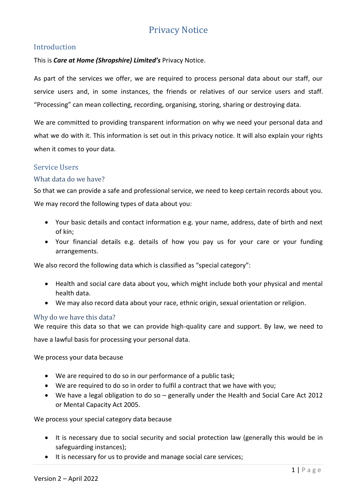# Privacy Notice

# Introduction

### This is *Care at Home (Shropshire) Limited's* Privacy Notice.

As part of the services we offer, we are required to process personal data about our staff, our service users and, in some instances, the friends or relatives of our service users and staff. "Processing" can mean collecting, recording, organising, storing, sharing or destroying data.

We are committed to providing transparent information on why we need your personal data and what we do with it. This information is set out in this privacy notice. It will also explain your rights when it comes to your data.

## Service Users

#### What data do we have?

So that we can provide a safe and professional service, we need to keep certain records about you.

We may record the following types of data about you:

- Your basic details and contact information e.g. your name, address, date of birth and next of kin;
- Your financial details e.g. details of how you pay us for your care or your funding arrangements.

We also record the following data which is classified as "special category":

- Health and social care data about you, which might include both your physical and mental health data.
- We may also record data about your race, ethnic origin, sexual orientation or religion.

#### Why do we have this data?

We require this data so that we can provide high-quality care and support. By law, we need to

have a lawful basis for processing your personal data.

We process your data because

- We are required to do so in our performance of a public task;
- We are required to do so in order to fulfil a contract that we have with you;
- We have a legal obligation to do so generally under the Health and Social Care Act 2012 or Mental Capacity Act 2005.

We process your special category data because

- It is necessary due to social security and social protection law (generally this would be in safeguarding instances);
- It is necessary for us to provide and manage social care services;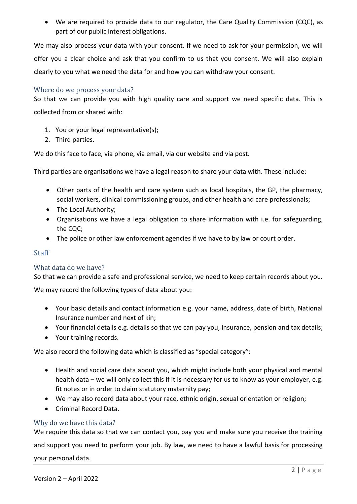• We are required to provide data to our regulator, the Care Quality Commission (CQC), as part of our public interest obligations.

We may also process your data with your consent. If we need to ask for your permission, we will offer you a clear choice and ask that you confirm to us that you consent. We will also explain clearly to you what we need the data for and how you can withdraw your consent.

#### Where do we process your data?

So that we can provide you with high quality care and support we need specific data. This is collected from or shared with:

- 1. You or your legal representative(s);
- 2. Third parties.

We do this face to face, via phone, via email, via our website and via post.

Third parties are organisations we have a legal reason to share your data with. These include:

- Other parts of the health and care system such as local hospitals, the GP, the pharmacy, social workers, clinical commissioning groups, and other health and care professionals;
- The Local Authority;
- Organisations we have a legal obligation to share information with i.e. for safeguarding, the CQC;
- The police or other law enforcement agencies if we have to by law or court order.

## **Staff**

## What data do we have?

So that we can provide a safe and professional service, we need to keep certain records about you.

We may record the following types of data about you:

- Your basic details and contact information e.g. your name, address, date of birth, National Insurance number and next of kin;
- Your financial details e.g. details so that we can pay you, insurance, pension and tax details;
- Your training records.

We also record the following data which is classified as "special category":

- Health and social care data about you, which might include both your physical and mental health data – we will only collect this if it is necessary for us to know as your employer, e.g. fit notes or in order to claim statutory maternity pay;
- We may also record data about your race, ethnic origin, sexual orientation or religion;
- Criminal Record Data.

## Why do we have this data?

We require this data so that we can contact you, pay you and make sure you receive the training and support you need to perform your job. By law, we need to have a lawful basis for processing your personal data.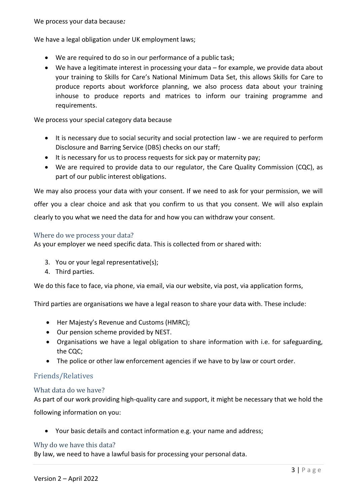We have a legal obligation under UK employment laws;

- We are required to do so in our performance of a public task;
- We have a legitimate interest in processing your data for example, we provide data about your training to Skills for Care's National Minimum Data Set, this allows Skills for Care to produce reports about workforce planning, we also process data about your training inhouse to produce reports and matrices to inform our training programme and requirements.

We process your special category data because

- It is necessary due to social security and social protection law we are required to perform Disclosure and Barring Service (DBS) checks on our staff;
- It is necessary for us to process requests for sick pay or maternity pay;
- We are required to provide data to our regulator, the Care Quality Commission (CQC), as part of our public interest obligations.

We may also process your data with your consent. If we need to ask for your permission, we will offer you a clear choice and ask that you confirm to us that you consent. We will also explain clearly to you what we need the data for and how you can withdraw your consent.

#### Where do we process your data?

As your employer we need specific data. This is collected from or shared with:

- 3. You or your legal representative(s);
- 4. Third parties.

We do this face to face, via phone, via email, via our website, via post, via application forms,

Third parties are organisations we have a legal reason to share your data with. These include:

- Her Majesty's Revenue and Customs (HMRC);
- Our pension scheme provided by NEST.
- Organisations we have a legal obligation to share information with i.e. for safeguarding, the CQC;
- The police or other law enforcement agencies if we have to by law or court order.

## Friends/Relatives

#### What data do we have?

As part of our work providing high-quality care and support, it might be necessary that we hold the

following information on you:

• Your basic details and contact information e.g. your name and address;

#### Why do we have this data?

By law, we need to have a lawful basis for processing your personal data.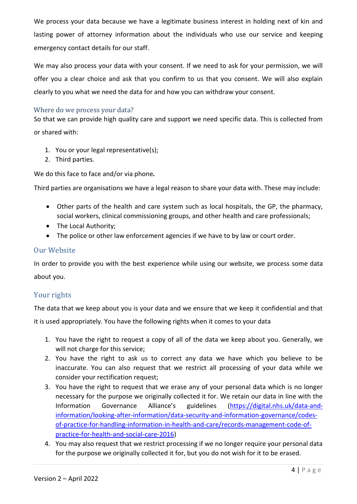We process your data because we have a legitimate business interest in holding next of kin and lasting power of attorney information about the individuals who use our service and keeping emergency contact details for our staff.

We may also process your data with your consent. If we need to ask for your permission, we will offer you a clear choice and ask that you confirm to us that you consent. We will also explain clearly to you what we need the data for and how you can withdraw your consent.

## Where do we process your data?

So that we can provide high quality care and support we need specific data. This is collected from or shared with:

- 1. You or your legal representative(s);
- 2. Third parties.

We do this face to face and/or via phone*.*

Third parties are organisations we have a legal reason to share your data with. These may include:

- Other parts of the health and care system such as local hospitals, the GP, the pharmacy, social workers, clinical commissioning groups, and other health and care professionals;
- The Local Authority;
- The police or other law enforcement agencies if we have to by law or court order.

# Our Website

In order to provide you with the best experience while using our website, we process some data about you.

# Your rights

The data that we keep about you is your data and we ensure that we keep it confidential and that

it is used appropriately. You have the following rights when it comes to your data

- 1. You have the right to request a copy of all of the data we keep about you. Generally, we will not charge for this service;
- 2. You have the right to ask us to correct any data we have which you believe to be inaccurate. You can also request that we restrict all processing of your data while we consider your rectification request;
- 3. You have the right to request that we erase any of your personal data which is no longer necessary for the purpose we originally collected it for. We retain our data in line with the Information Governance Alliance's guidelines ([https://digital.nhs.uk/data-and](https://digital.nhs.uk/data-and-information/looking-after-information/data-security-and-information-governance/codes-of-practice-for-handling-information-in-health-and-care/records-management-code-of-practice-for-health-and-social-care-2016)[information/looking-after-information/data-security-and-information-governance/codes](https://digital.nhs.uk/data-and-information/looking-after-information/data-security-and-information-governance/codes-of-practice-for-handling-information-in-health-and-care/records-management-code-of-practice-for-health-and-social-care-2016)[of-practice-for-handling-information-in-health-and-care/records-management-code-of](https://digital.nhs.uk/data-and-information/looking-after-information/data-security-and-information-governance/codes-of-practice-for-handling-information-in-health-and-care/records-management-code-of-practice-for-health-and-social-care-2016)[practice-for-health-and-social-care-2016\)](https://digital.nhs.uk/data-and-information/looking-after-information/data-security-and-information-governance/codes-of-practice-for-handling-information-in-health-and-care/records-management-code-of-practice-for-health-and-social-care-2016)
- 4. You may also request that we restrict processing if we no longer require your personal data for the purpose we originally collected it for, but you do not wish for it to be erased.